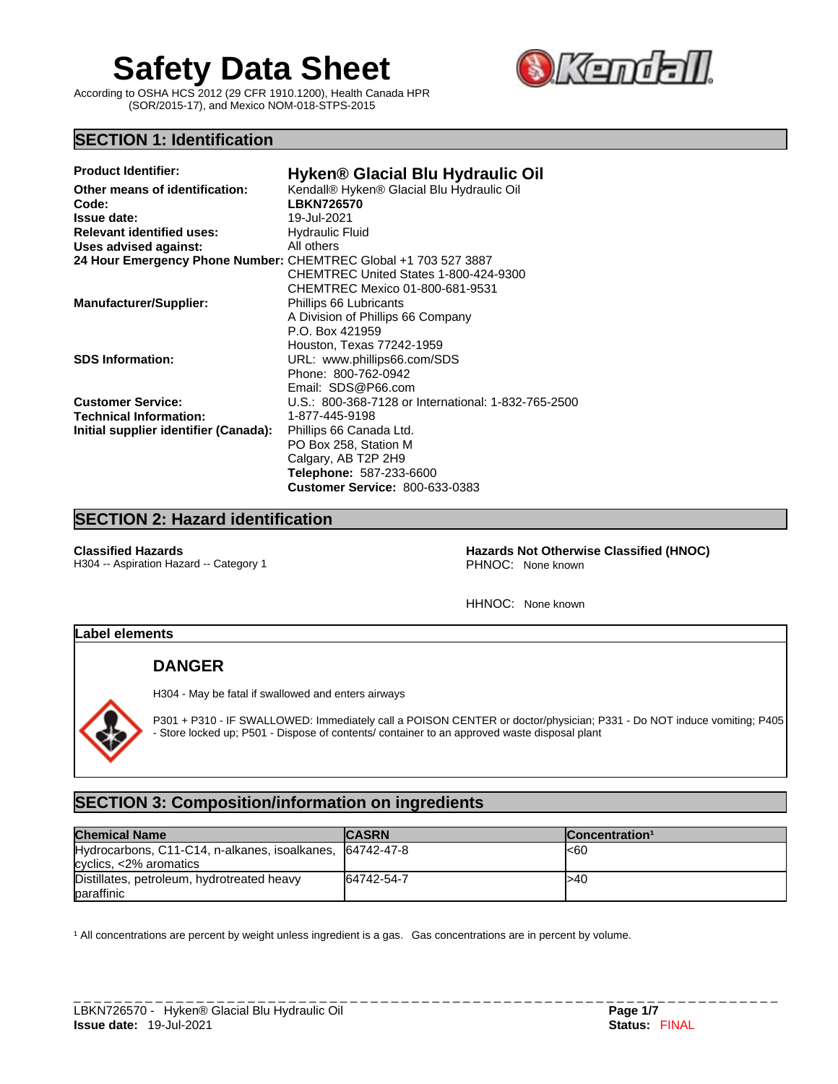# **Safety Data Sheet SKEM**

According to OSHA HCS 2012 (29 CFR 1910.1200), Health Canada HPR (SOR/2015-17), and Mexico NOM-018-STPS-2015



# **SECTION 1: Identification**

| <b>Product Identifier:</b>                                      | Hyken <sup>®</sup> Glacial Blu Hydraulic Oil        |
|-----------------------------------------------------------------|-----------------------------------------------------|
| Other means of identification:                                  | Kendall® Hyken® Glacial Blu Hydraulic Oil           |
| Code:                                                           | <b>LBKN726570</b>                                   |
| <b>Issue date:</b>                                              | 19-Jul-2021                                         |
| <b>Relevant identified uses:</b>                                | <b>Hydraulic Fluid</b>                              |
| <b>Uses advised against:</b>                                    | All others                                          |
| 24 Hour Emergency Phone Number: CHEMTREC Global +1 703 527 3887 |                                                     |
|                                                                 | CHEMTREC United States 1-800-424-9300               |
|                                                                 | CHEMTREC Mexico 01-800-681-9531                     |
| <b>Manufacturer/Supplier:</b>                                   | Phillips 66 Lubricants                              |
|                                                                 | A Division of Phillips 66 Company                   |
|                                                                 | P.O. Box 421959                                     |
|                                                                 | Houston, Texas 77242-1959                           |
| <b>SDS Information:</b>                                         | URL: www.phillips66.com/SDS                         |
|                                                                 | Phone: 800-762-0942                                 |
|                                                                 | Email: SDS@P66.com                                  |
| <b>Customer Service:</b>                                        | U.S.: 800-368-7128 or International: 1-832-765-2500 |
| <b>Technical Information:</b>                                   | 1-877-445-9198                                      |
| Initial supplier identifier (Canada):                           | Phillips 66 Canada Ltd.                             |
|                                                                 | PO Box 258, Station M                               |
|                                                                 | Calgary, AB T2P 2H9                                 |
|                                                                 | <b>Telephone: 587-233-6600</b>                      |
|                                                                 | <b>Customer Service: 800-633-0383</b>               |
|                                                                 |                                                     |

# **SECTION 2: Hazard identification**

H304 -- Aspiration Hazard -- Category 1

**Classified Hazards 1988**<br>
Hazards Not Otherwise Classified (HNOC)<br>
PHNOC: None known<br>
PHNOC: None known

HHNOC: None known

# **Label elements**

# **DANGER**

H304 - May be fatal if swallowed and enters airways

P301 + P310 - IF SWALLOWED: Immediately call a POISON CENTER or doctor/physician; P331 - Do NOT induce vomiting; P405 - Store locked up; P501 - Dispose of contents/ container to an approved waste disposal plant

# **SECTION 3: Composition/information on ingredients**

| <b>Chemical Name</b>                                                                   | <b>CASRN</b> | Concentration <sup>1</sup> |
|----------------------------------------------------------------------------------------|--------------|----------------------------|
| Hydrocarbons, C11-C14, n-alkanes, isoalkanes, 64742-47-8<br>$cyclics, < 2\% aromatics$ |              | l<60                       |
| Distillates, petroleum, hydrotreated heavy<br><b>baraffinic</b>                        | 64742-54-7   | l>40                       |

<sup>1</sup> All concentrations are percent by weight unless ingredient is a gas. Gas concentrations are in percent by volume.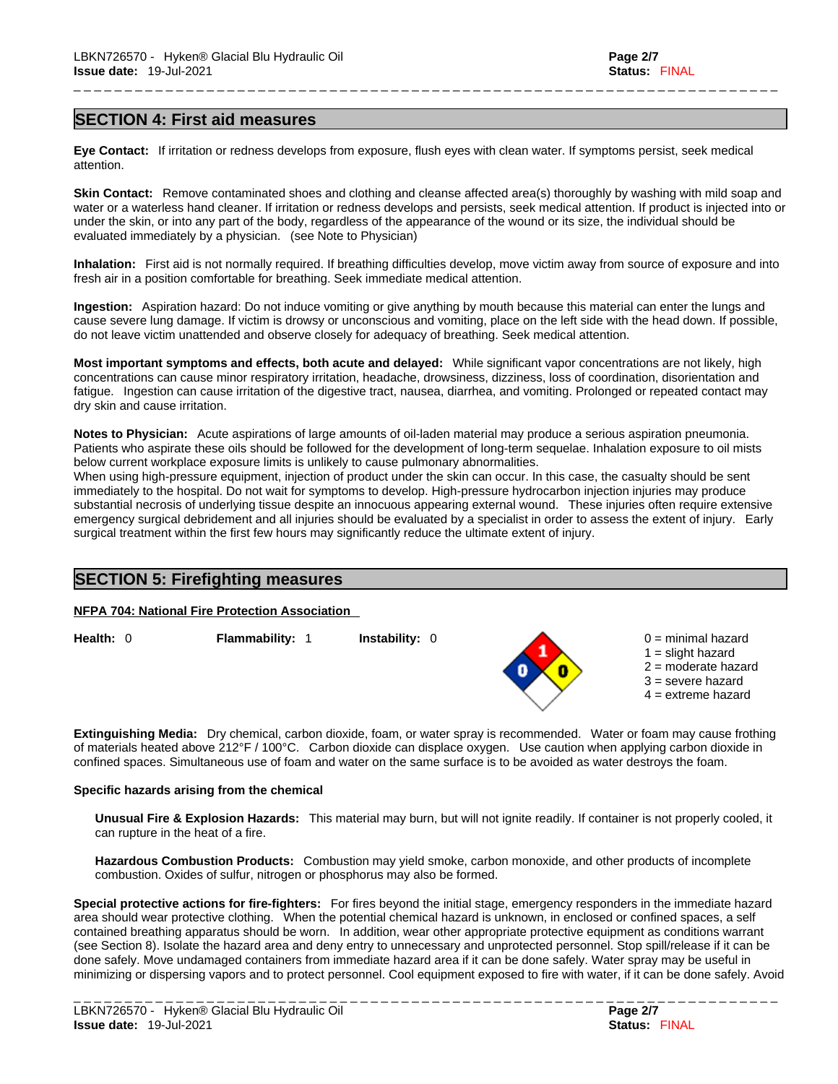#### **SECTION 4: First aid measures**

**Eye Contact:** If irritation or redness develops from exposure, flush eyes with clean water. If symptoms persist, seek medical attention.

**Skin Contact:** Remove contaminated shoes and clothing and cleanse affected area(s) thoroughly by washing with mild soap and water or a waterless hand cleaner. If irritation or redness develops and persists, seek medical attention. If product is injected into or under the skin, or into any part of the body, regardless of the appearance of the wound or its size, the individual should be evaluated immediately by a physician. (see Note to Physician)

\_ \_ \_ \_ \_ \_ \_ \_ \_ \_ \_ \_ \_ \_ \_ \_ \_ \_ \_ \_ \_ \_ \_ \_ \_ \_ \_ \_ \_ \_ \_ \_ \_ \_ \_ \_ \_ \_ \_ \_ \_ \_ \_ \_ \_ \_ \_ \_ \_ \_ \_ \_ \_ \_ \_ \_ \_ \_ \_ \_ \_ \_ \_ \_ \_ \_ \_ \_ \_

**Inhalation:** First aid isnot normally required.If breathing difficulties develop, move victim away from source of exposure and into fresh air in a position comfortable for breathing. Seek immediate medical attention.

**Ingestion:** Aspiration hazard: Do not induce vomiting or give anything by mouth because this material can enter the lungs and cause severe lung damage. If victim is drowsy or unconscious and vomiting, place on the left side with the head down. If possible, do not leave victim unattended and observe closely for adequacy of breathing. Seek medical attention.

**Most important symptoms and effects, both acute and delayed:** While significant vapor concentrations are not likely, high concentrations can cause minor respiratory irritation, headache, drowsiness, dizziness, loss of coordination, disorientation and fatigue. Ingestion can cause irritation of the digestive tract, nausea, diarrhea, and vomiting. Prolonged or repeated contact may dry skin and cause irritation.

**Notes to Physician:** Acute aspirations of large amounts of oil-laden material may produce a serious aspiration pneumonia. Patients who aspirate these oils should be followed for the development of long-term sequelae. Inhalation exposure to oil mists below current workplace exposure limits is unlikely to cause pulmonary abnormalities.

When using high-pressure equipment, injection of product under the skin can occur. In this case, the casualty should be sent immediately to the hospital. Do not wait for symptoms to develop. High-pressure hydrocarbon injection injuries may produce substantial necrosis of underlying tissue despite an innocuous appearing external wound. These injuries often require extensive emergency surgical debridement and all injuries should be evaluated by a specialist in order to assess the extent of injury. Early surgical treatment within the first few hours may significantly reduce the ultimate extent of injury.

# **SECTION 5: Firefighting measures**

**NFPA 704: National Fire Protection Association**

**Health:** 0 **Flammability:** 1 **Instability:** 0 0 = minimal hazard



 $1 =$  slight hazard 2 = moderate hazard 3 = severe hazard  $4 =$  extreme hazard

**Extinguishing Media:** Dry chemical, carbon dioxide, foam, or water spray is recommended. Water or foam may cause frothing of materials heated above 212°F / 100°C. Carbon dioxide can displace oxygen. Use caution when applying carbon dioxide in confined spaces. Simultaneous use of foam and water on the same surface is to be avoided as water destroys the foam.

#### **Specific hazards arising from the chemical**

**Unusual Fire & Explosion Hazards:** This material may burn, butwill not ignite readily. If container is not properly cooled, it can rupture in the heat of a fire.

**Hazardous Combustion Products:** Combustion may yield smoke, carbon monoxide, and other products of incomplete combustion. Oxides of sulfur, nitrogen or phosphorus may also be formed.

**Special protective actions for fire-fighters:** For fires beyond the initial stage, emergency responders in the immediate hazard area should wear protective clothing. When the potential chemical hazard is unknown, in enclosed or confined spaces, a self contained breathing apparatus should be worn. In addition, wear other appropriate protective equipment as conditions warrant (see Section 8). Isolate the hazard area and deny entry to unnecessary and unprotected personnel. Stop spill/release if it can be done safely. Move undamaged containers from immediate hazard area if it can be done safely. Water spray may be useful in minimizing or dispersing vapors and to protect personnel. Cool equipment exposed to fire with water, if it can be done safely. Avoid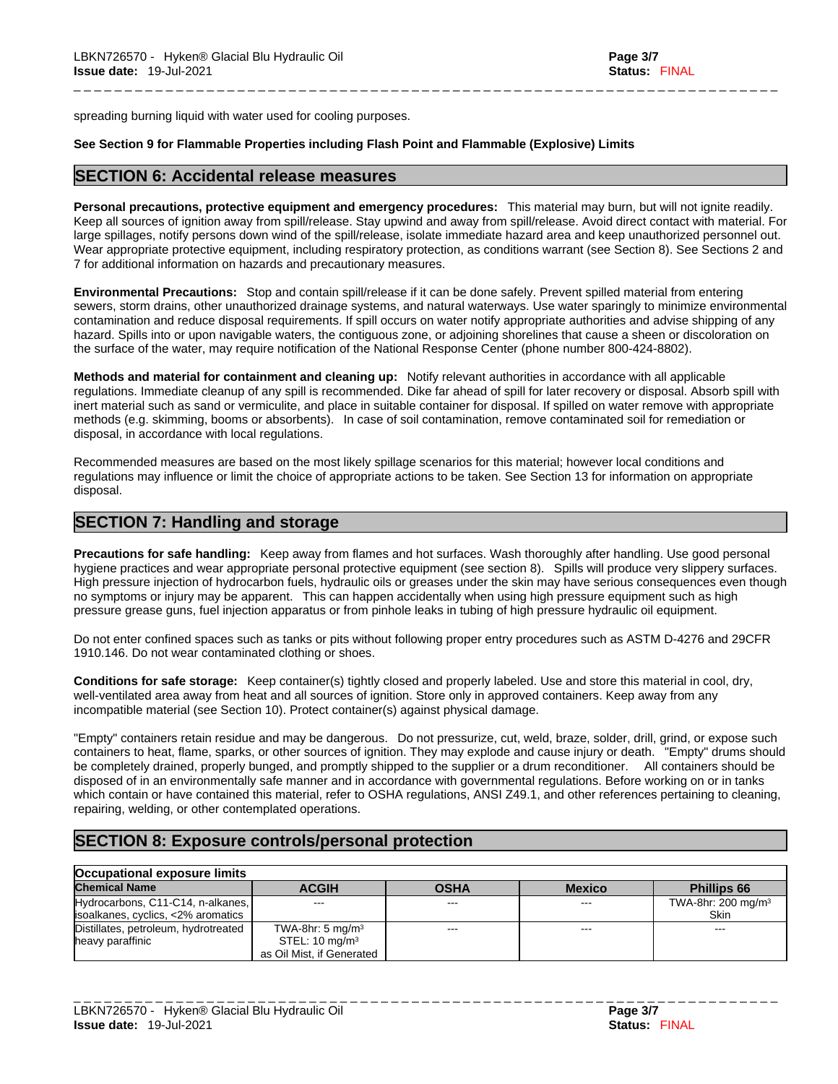spreading burning liquid with water used for cooling purposes.

#### **See Section 9 for Flammable Properties including Flash Point and Flammable (Explosive) Limits**

#### **SECTION 6: Accidental release measures**

**Personal precautions, protective equipment and emergency procedures:** This material may burn, butwill not ignite readily. Keep all sources of ignition away from spill/release. Stay upwind and away from spill/release. Avoid direct contact with material. For large spillages, notify persons down wind of the spill/release, isolate immediate hazard area and keep unauthorized personnel out. Wear appropriate protective equipment, including respiratory protection, as conditions warrant (see Section 8). See Sections 2 and 7 for additional information on hazards and precautionary measures.

\_ \_ \_ \_ \_ \_ \_ \_ \_ \_ \_ \_ \_ \_ \_ \_ \_ \_ \_ \_ \_ \_ \_ \_ \_ \_ \_ \_ \_ \_ \_ \_ \_ \_ \_ \_ \_ \_ \_ \_ \_ \_ \_ \_ \_ \_ \_ \_ \_ \_ \_ \_ \_ \_ \_ \_ \_ \_ \_ \_ \_ \_ \_ \_ \_ \_ \_ \_ \_

**Environmental Precautions:** Stop and contain spill/release if it can be done safely. Prevent spilled material from entering sewers, storm drains, other unauthorized drainage systems, and natural waterways. Use water sparingly to minimize environmental contamination and reduce disposal requirements. If spill occurs on water notify appropriate authorities and advise shipping of any hazard. Spills into or upon navigable waters, the contiguous zone, or adjoining shorelines that cause a sheen or discoloration on the surface of the water, may require notification of the National Response Center (phone number 800-424-8802).

**Methods and material for containment and cleaning up:** Notify relevant authorities in accordance with all applicable regulations. Immediate cleanup of any spill is recommended. Dike far ahead of spill for later recovery or disposal. Absorb spill with inert material such as sand or vermiculite, and place in suitable container for disposal. If spilled on water remove with appropriate methods (e.g. skimming, booms or absorbents). In case of soil contamination, remove contaminated soil for remediation or disposal, in accordance with local regulations.

Recommended measures are based on the most likely spillage scenarios for this material; however local conditions and regulations may influence or limit the choice of appropriate actions to be taken. See Section 13 for information on appropriate disposal.

# **SECTION 7: Handling and storage**

**Precautions for safe handling:** Keep away from flames and hot surfaces. Wash thoroughly after handling. Use good personal hygiene practices and wear appropriate personal protective equipment (see section 8). Spills will produce very slippery surfaces. High pressure injection of hydrocarbon fuels, hydraulic oils or greases under the skin may have serious consequences even though no symptoms or injury may be apparent. This can happen accidentally when using high pressure equipment such as high pressure grease guns, fuel injection apparatus or from pinhole leaks in tubing of high pressure hydraulic oil equipment.

Do not enter confined spaces such as tanks or pits without following proper entry procedures such as ASTM D-4276 and 29CFR 1910.146. Do not wear contaminated clothing or shoes.

**Conditions for safe storage:** Keep container(s) tightly closed and properly labeled. Use and store this material in cool, dry, well-ventilated area away from heat and all sources of ignition. Store only in approved containers. Keep away from any incompatible material (see Section 10). Protect container(s) against physical damage.

"Empty" containers retain residue and may be dangerous. Do not pressurize, cut, weld, braze, solder, drill, grind, or expose such containers to heat, flame, sparks, or other sources of ignition. They may explode and cause injury or death. "Empty" drums should be completely drained, properly bunged, and promptly shipped to the supplier or a drum reconditioner. All containers should be disposed of in an environmentally safe manner and in accordance with governmental regulations. Before working on or in tanks which contain or have contained this material, refer to OSHA regulations, ANSI Z49.1, and other references pertaining to cleaning, repairing, welding, or other contemplated operations.

# **SECTION 8: Exposure controls/personal protection**

| Occupational exposure limits         |                              |             |               |                                |
|--------------------------------------|------------------------------|-------------|---------------|--------------------------------|
| <b>Chemical Name</b>                 | <b>ACGIH</b>                 | <b>OSHA</b> | <b>Mexico</b> | <b>Phillips 66</b>             |
| Hydrocarbons, C11-C14, n-alkanes,    | $\cdots$                     | $--$        | $--$          | TWA-8hr: 200 mg/m <sup>3</sup> |
| lisoalkanes, cyclics, <2% aromatics  |                              |             |               | <b>Skin</b>                    |
| Distillates, petroleum, hydrotreated | TWA-8hr: 5 mg/m <sup>3</sup> | ---         | ---           | $- - -$                        |
| heavy paraffinic                     | STEL: $10 \text{ mg/m}^3$    |             |               |                                |
|                                      | as Oil Mist, if Generated    |             |               |                                |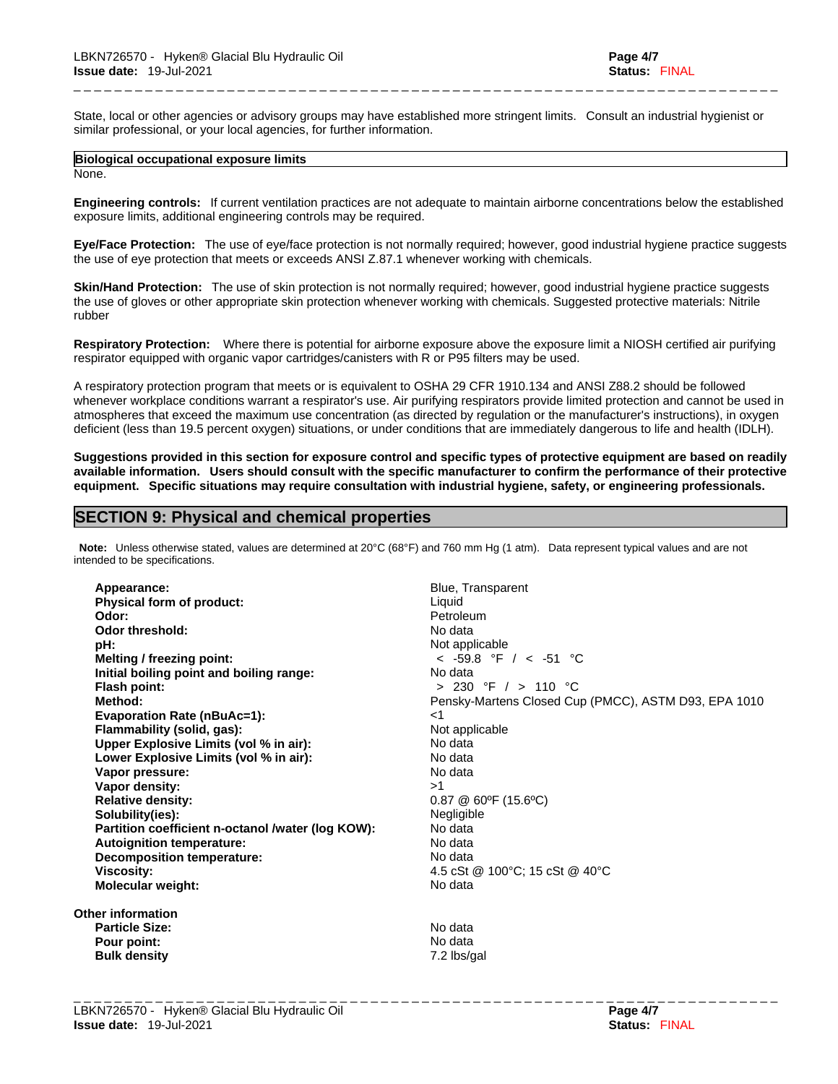State, local or other agencies or advisory groups may have established more stringent limits. Consult an industrial hygienist or similar professional, or your local agencies, for further information.

\_ \_ \_ \_ \_ \_ \_ \_ \_ \_ \_ \_ \_ \_ \_ \_ \_ \_ \_ \_ \_ \_ \_ \_ \_ \_ \_ \_ \_ \_ \_ \_ \_ \_ \_ \_ \_ \_ \_ \_ \_ \_ \_ \_ \_ \_ \_ \_ \_ \_ \_ \_ \_ \_ \_ \_ \_ \_ \_ \_ \_ \_ \_ \_ \_ \_ \_ \_ \_

# **Biological occupational exposure limits**

None.

**Engineering controls:** If current ventilation practices are not adequate to maintain airborne concentrations below the established exposure limits, additional engineering controls may be required.

**Eye/Face Protection:** The use of eye/face protection is not normally required; however, good industrial hygiene practice suggests the use of eye protection that meets or exceeds ANSI Z.87.1 whenever working with chemicals.

**Skin/Hand Protection:** The use of skin protection is not normally required; however, good industrial hygiene practice suggests the use of gloves or other appropriate skin protection whenever working with chemicals. Suggested protective materials: Nitrile rubber

**Respiratory Protection:** Where there is potential for airborne exposure above the exposure limit a NIOSH certified air purifying respirator equipped with organic vapor cartridges/canisters with R or P95 filters may be used.

A respiratory protection program that meets or is equivalent to OSHA 29 CFR 1910.134 and ANSI Z88.2 should be followed whenever workplace conditions warrant a respirator's use. Air purifying respirators provide limited protection and cannot be used in atmospheres that exceed the maximum use concentration (as directed by regulation or the manufacturer's instructions), in oxygen deficient (less than 19.5 percent oxygen) situations, or under conditions that are immediately dangerous to life and health (IDLH).

Suggestions provided in this section for exposure control and specific types of protective equipment are based on readily available information. Users should consult with the specific manufacturer to confirm the performance of their protective **equipment. Specific situations may require consultation with industrial hygiene, safety, or engineering professionals.**

# **SECTION 9: Physical and chemical properties**

**Note:** Unless otherwise stated, values are determined at 20°C (68°F) and 760 mm Hg (1 atm). Data represent typical values and are not intended to be specifications.

Appearance: **Appearance: Blue, Transparent Physical form of product:**<br> **Odor:** Petroleum **Odor: Petroleum Petroleum Odor threshold:** No data<br> **pH:** No data **Melting / freezing point:** < -59.8 °F / < -51 °C **Initial boiling point and boiling range:** No data **Flash point:** > 230 °F / > 110 °C **Evaporation Rate (nBuAc=1):** <1 **Flammability (solid, gas):** Not applicable **Upper Explosive Limits (vol% in air):** No data **Lower Explosive Limits (vol% in air):** No data **Vapor pressure:** No data **Vapor density:**  $>1$ **Relative density:**<br> **Solubility(ies):**<br> **Solubility(ies):**<br> **Solubility(ies): Solubility(ies):** Negligib<br> **Partition coefficient n-octanol /water (log KOW):** No data **Partition coefficient n-octanol /water (log KOW): No data<br>
<b>Autoignition temperature:** No data **Autoignition temperature: Decomposition temperature:** No data **Viscosity:** 4.5 cSt @ 100°C; 15 cSt @ 40°C **Molecular weight:** No data

**Other information Particle Size:** No data<br> **Pour point:** No data **Pour point:**<br> **Pour point:**<br> **Pour point:**<br> **Pour point:**<br> **Pour point:**<br> **Pour point:**<br> **Pour point:**<br> **Pour point:**<br> **Pour point: Bulk density** 

Not applicable **Method:** Pensky-Martens Closed Cup (PMCC), ASTM D93, EPA 1010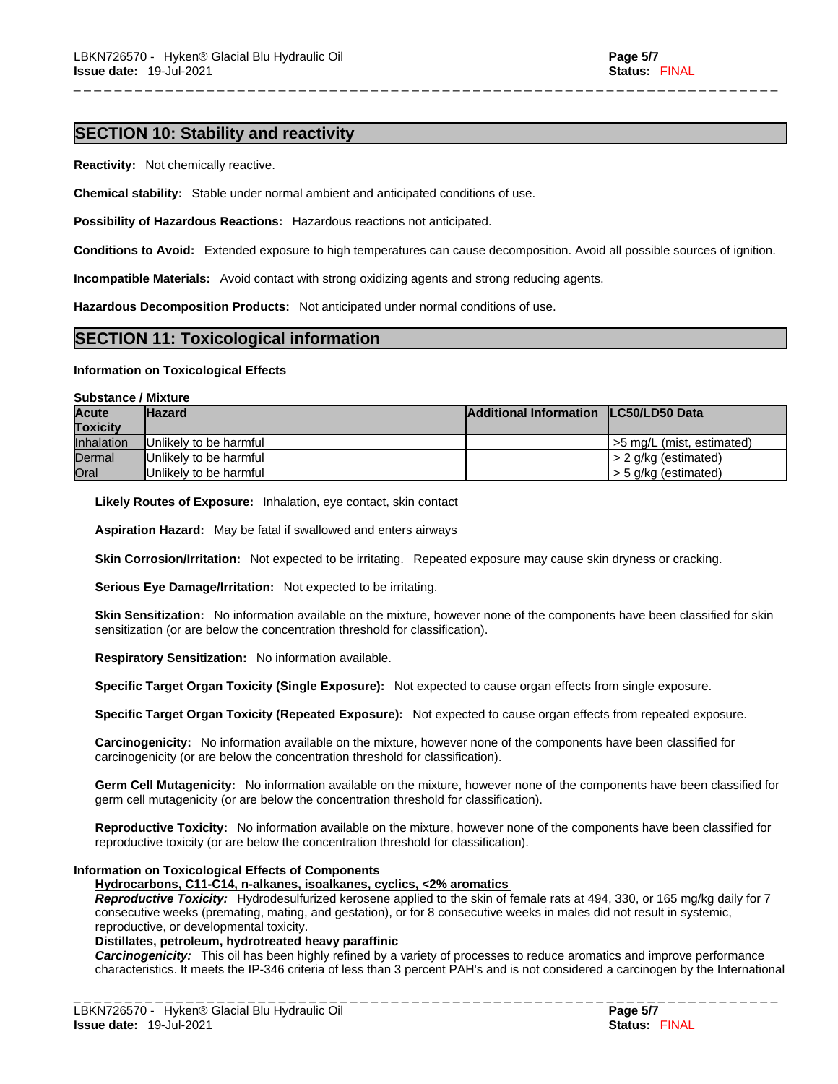# **SECTION 10: Stability and reactivity**

**Reactivity:** Not chemically reactive.

**Chemical stability:** Stable under normal ambient and anticipated conditions of use.

**Possibility of Hazardous Reactions:** Hazardous reactions not anticipated.

**Conditions to Avoid:** Extended exposure to high temperatures can cause decomposition. Avoid all possible sources of ignition.

\_ \_ \_ \_ \_ \_ \_ \_ \_ \_ \_ \_ \_ \_ \_ \_ \_ \_ \_ \_ \_ \_ \_ \_ \_ \_ \_ \_ \_ \_ \_ \_ \_ \_ \_ \_ \_ \_ \_ \_ \_ \_ \_ \_ \_ \_ \_ \_ \_ \_ \_ \_ \_ \_ \_ \_ \_ \_ \_ \_ \_ \_ \_ \_ \_ \_ \_ \_ \_

**Incompatible Materials:** Avoid contact with strong oxidizing agents and strong reducing agents.

**Hazardous Decomposition Products:** Not anticipated under normal conditions of use.

# **SECTION 11: Toxicological information**

#### **Information on Toxicological Effects**

#### **Substance / Mixture**

| <b>Acute</b>      | <b>Hazard</b>                   | Additional Information LC50/LD50 Data |                          |
|-------------------|---------------------------------|---------------------------------------|--------------------------|
| <b>Toxicity</b>   |                                 |                                       |                          |
| <b>Inhalation</b> | Unlikely to be harmful          |                                       | 5 mg/L (mist, estimated) |
| Dermal            | <b>IUnlikely to be harmful</b>  |                                       | $I > 2$ g/kg (estimated) |
| Oral              | <b>I</b> Unlikelv to be harmful |                                       | $I > 5$ g/kg (estimated) |

**Likely Routes of Exposure:** Inhalation, eye contact, skin contact

**Aspiration Hazard:** May be fatal if swallowed and enters airways

**Skin Corrosion/Irritation:** Not expected to be irritating. Repeated exposure may cause skin dryness or cracking.

**Serious Eye Damage/Irritation:** Not expected to be irritating.

**Skin Sensitization:** No information available on the mixture, however none of the components have been classified for skin sensitization (or are below the concentration threshold for classification).

**Respiratory Sensitization:** No information available.

**Specific Target Organ Toxicity (Single Exposure):** Not expected to cause organ effects from single exposure.

**Specific Target Organ Toxicity (Repeated Exposure):** Not expected to cause organ effects from repeated exposure.

**Carcinogenicity:** No information available on the mixture, however none of the components have been classified for carcinogenicity (or are below the concentration threshold for classification).

**Germ Cell Mutagenicity:** No information available on the mixture, however none of the components have been classified for germ cell mutagenicity (or are below the concentration threshold for classification).

**Reproductive Toxicity:** No information available on the mixture, however none of the components have been classified for reproductive toxicity (or are below the concentration threshold for classification).

#### **Information on Toxicological Effects of Components**

**Hydrocarbons, C11-C14, n-alkanes, isoalkanes, cyclics, <2% aromatics**

*Reproductive Toxicity:* Hydrodesulfurized kerosene applied to the skin of female rats at 494,330, or 165 mg/kg daily for 7 consecutive weeks (premating, mating, and gestation), or for 8 consecutive weeks in males did not result in systemic, reproductive, or developmental toxicity.

# **Distillates, petroleum, hydrotreated heavy paraffinic**

*Carcinogenicity:* This oil has been highly refined by a variety of processes to reduce aromatics and improve performance characteristics. It meets the IP-346 criteria of less than 3 percent PAH's and isnot considered a carcinogen by the International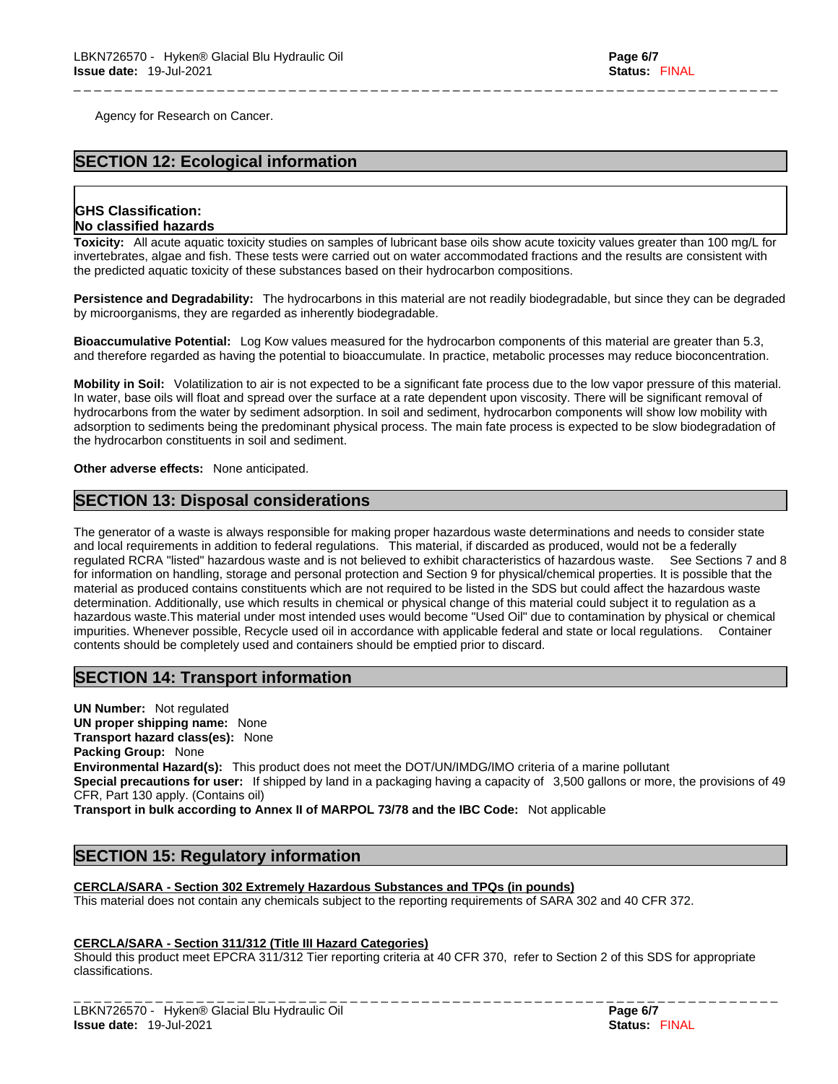Agency for Research on Cancer.

# **SECTION 12: Ecological information**

# **GHS Classification: No classified hazards**

**Toxicity:** All acute aquatic toxicity studies on samples of lubricant base oils show acute toxicity values greater than 100 mg/L for invertebrates, algae and fish. These tests were carried out on water accommodated fractions and the results are consistent with the predicted aquatic toxicity of these substances based on their hydrocarbon compositions.

\_ \_ \_ \_ \_ \_ \_ \_ \_ \_ \_ \_ \_ \_ \_ \_ \_ \_ \_ \_ \_ \_ \_ \_ \_ \_ \_ \_ \_ \_ \_ \_ \_ \_ \_ \_ \_ \_ \_ \_ \_ \_ \_ \_ \_ \_ \_ \_ \_ \_ \_ \_ \_ \_ \_ \_ \_ \_ \_ \_ \_ \_ \_ \_ \_ \_ \_ \_ \_

**Persistence and Degradability:** The hydrocarbons in this material are not readily biodegradable, but since they can be degraded by microorganisms, they are regarded as inherently biodegradable.

**Bioaccumulative Potential:** Log Kow values measured for the hydrocarbon components of this material are greater than 5.3, and therefore regarded as having the potential to bioaccumulate. In practice, metabolic processes may reduce bioconcentration.

**Mobility in Soil:** Volatilization to air is not expected to be a significant fate process due to the low vapor pressure of this material. In water, base oils will float and spread over the surface at a rate dependent upon viscosity. There will be significant removal of hydrocarbons from the water by sediment adsorption. In soil and sediment, hydrocarbon components will show low mobility with adsorption to sediments being the predominant physical process. The main fate process is expected to be slow biodegradation of the hydrocarbon constituents in soil and sediment.

**Other adverse effects:** None anticipated.

# **SECTION 13: Disposal considerations**

The generator of a waste is always responsible for making proper hazardous waste determinations and needs to consider state and local requirements in addition to federal regulations. This material, if discarded as produced, would not be a federally regulated RCRA "listed" hazardous waste and is not believed to exhibit characteristics of hazardous waste. See Sections 7 and 8 for information on handling, storage and personal protection and Section 9 for physical/chemical properties. It is possible that the material as produced contains constituents which are not required to be listed in the SDS but could affect the hazardous waste determination. Additionally, use which results in chemical or physical change of this material could subject it to regulation as a hazardous waste.This material under most intended uses would become "Used Oil" due to contamination by physical or chemical impurities. Whenever possible, Recycle used oil in accordance with applicable federal and state or local regulations. Container contents should be completely used and containers should be emptied prior to discard.

# **SECTION 14: Transport information**

**UN Number:** Not regulated **UN proper shipping name:** None **Transport hazard class(es):** None **Packing Group:** None **Environmental Hazard(s):** This product does not meet the DOT/UN/IMDG/IMO criteria of a marine pollutant **Special precautions for user:** If shipped by land in a packaging having a capacity of 3,500 gallons or more, the provisions of 49 CFR, Part 130 apply. (Contains oil)

**Transport in bulk according to Annex II of MARPOL 73/78 and the IBC Code:** Not applicable

# **SECTION 15: Regulatory information**

## **CERCLA/SARA - Section 302 Extremely Hazardous Substances and TPQs (in pounds)**

This material does not contain any chemicals subject to the reporting requirements of SARA 302 and 40 CFR 372.

#### **CERCLA/SARA - Section 311/312 (Title III Hazard Categories)**

Should this product meet EPCRA 311/312 Tier reporting criteria at 40 CFR 370, refer to Section 2 of this SDS for appropriate classifications. \_ \_ \_ \_ \_ \_ \_ \_ \_ \_ \_ \_ \_ \_ \_ \_ \_ \_ \_ \_ \_ \_ \_ \_ \_ \_ \_ \_ \_ \_ \_ \_ \_ \_ \_ \_ \_ \_ \_ \_ \_ \_ \_ \_ \_ \_ \_ \_ \_ \_ \_ \_ \_ \_ \_ \_ \_ \_ \_ \_ \_ \_ \_ \_ \_ \_ \_ \_ \_

LBKN726570 - Hyken® Glacial Blu Hydraulic Oil **Page 6/7 Issue date:** 19-Jul-2021 **Status:** FINAL